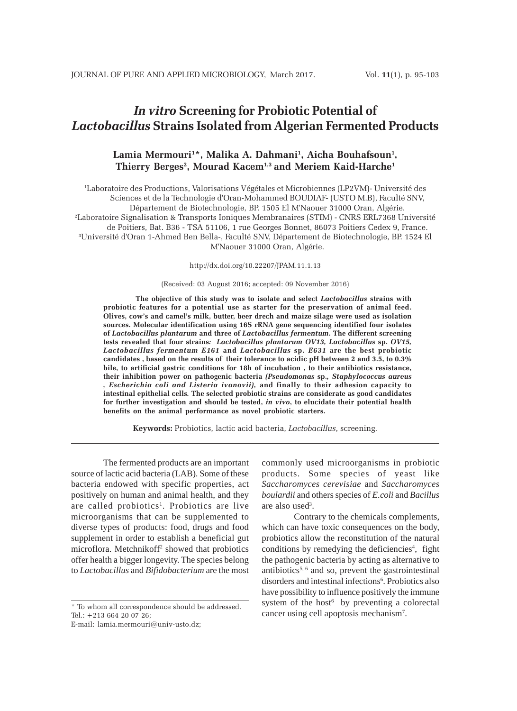# *In vitro* **Screening for Probiotic Potential of** *Lactobacillus* **Strains Isolated from Algerian Fermented Products**

# Lamia Mermouri<sup>1\*</sup>, Malika A. Dahmani<sup>1</sup>, Aicha Bouhafsoun<sup>1</sup>, **Thierry Berges2 , Mourad Kacem1,3 and Meriem Kaid-Harche1**

1 Laboratoire des Productions, Valorisations Végétales et Microbiennes (LP2VM)- Université des Sciences et de la Technologie d'Oran-Mohammed BOUDIAF- (USTO M.B), Faculté SNV, Département de Biotechnologie, BP. 1505 El M'Naouer 31000 Oran, Algérie. 2 Laboratoire Signalisation & Transports Ioniques Membranaires (STIM) - CNRS ERL7368 Université de Poitiers, Bat. B36 - TSA 51106, 1 rue Georges Bonnet, 86073 Poitiers Cedex 9, France. 3 Université d'Oran 1-Ahmed Ben Bella-, Faculté SNV, Département de Biotechnologie, BP. 1524 El M'Naouer 31000 Oran, Algérie.

http://dx.doi.org/10.22207/JPAM.11.1.13

#### (Received: 03 August 2016; accepted: 09 November 2016)

**The objective of this study was to isolate and select** *Lactobacillus* **strains with probiotic features for a potential use as starter for the preservation of animal feed. Olives, cow's and camel's milk, butter, beer drech and maize silage were used as isolation sources. Molecular identification using 16S rRNA gene sequencing identified four isolates of** *Lactobacillus plantarum* **and three of** *Lactobacillus fermentum***. The different screening tests revealed that four strains***: Lactobacillus plantarum OV13, Lactobacillus* **sp.** *OV15, Lactobacillus fermentum E161* **and** *Lactobacillus* **sp.** *E631* **are the best probiotic candidates , based on the results of their tolerance to acidic pH between 2 and 3.5, to 0.3% bile, to artificial gastric conditions for 18h of incubation , to their antibiotics resistance, their inhibition power on pathogenic bacteria** *(Pseudomonas* **sp.***, Staphylococcus aureus , Escherichia coli and Listeria ivanovii),* **and finally to their adhesion capacity to intestinal epithelial cells***.* **The selected probiotic strains are considerate as good candidates for further investigation and should be tested,** *in vivo***, to elucidate their potential health benefits on the animal performance as novel probiotic starters.**

**Keywords:** Probiotics, lactic acid bacteria, *Lactobacillus*, screening.

The fermented products are an important source of lactic acid bacteria (LAB). Some of these bacteria endowed with specific properties, act positively on human and animal health, and they are called probiotics<sup>1</sup>. Probiotics are live microorganisms that can be supplemented to diverse types of products: food, drugs and food supplement in order to establish a beneficial gut microflora. Metchnikoff<sup>2</sup> showed that probiotics offer health a bigger longevity. The species belong to *Lactobacillus* and *Bifidobacterium* are the most

\* To whom all correspondence should be addressed. Tel.: +213 664 20 07 26;

E-mail: lamia.mermouri@univ-usto.dz;

commonly used microorganisms in probiotic products. Some species of yeast like *Saccharomyces cerevisiae* and *Saccharomyces boulardii* and others species of *E.coli* and *Bacillus* are also used<sup>3</sup>.

Contrary to the chemicals complements, which can have toxic consequences on the body, probiotics allow the reconstitution of the natural conditions by remedying the deficiencies<sup>4</sup>, fight the pathogenic bacteria by acting as alternative to antibiotics<sup>5, 6</sup> and so, prevent the gastrointestinal disorders and intestinal infections<sup>6</sup>. Probiotics also have possibility to influence positively the immune system of the host<sup>6</sup> by preventing a colorectal cancer using cell apoptosis mechanism7 .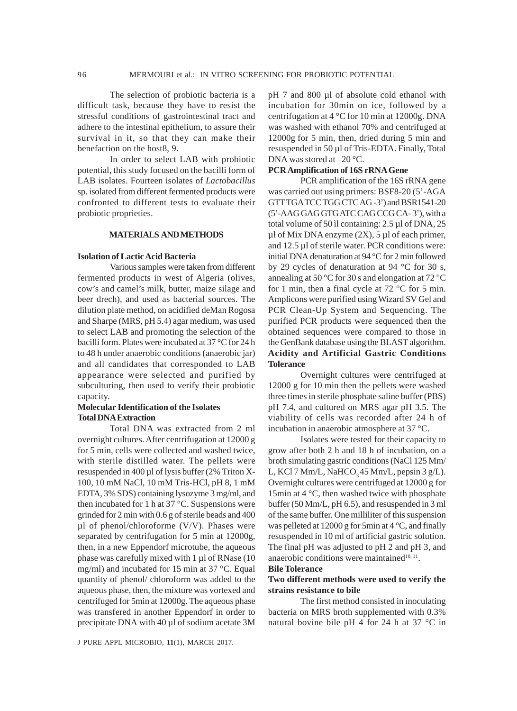The selection of probiotic bacteria is a difficult task, because they have to resist the stressful conditions of gastrointestinal tract and adhere to the intestinal epithelium, to assure their survival in it, so that they can make their benefaction on the host8, 9.

In order to select LAB with probiotic potential, this study focused on the bacilli form of LAB isolates. Fourteen isolates of *Lactobacillus* sp. isolated from different fermented products were confronted to different tests to evaluate their probiotic proprieties.

#### **MATERIALS AND METHODS**

#### **Isolation of Lactic Acid Bacteria**

Various samples were taken from different fermented products in west of Algeria (olives, cow's and camel's milk, butter, maize silage and beer drech), and used as bacterial sources. The dilution plate method, on acidified deMan Rogosa and Sharpe (MRS, pH 5.4) agar medium, was used to select LAB and promoting the selection of the bacilli form. Plates were incubated at 37 °C for 24 h to 48 h under anaerobic conditions (anaerobic jar) and all candidates that corresponded to LAB appearance were selected and purified by subculturing, then used to verify their probiotic capacity.

# **Molecular Identification of the Isolates Total DNA Extraction**

Total DNA was extracted from 2 ml overnight cultures. After centrifugation at 12000 g for 5 min, cells were collected and washed twice, with sterile distilled water. The pellets were resuspended in 400 µl of lysis buffer (2% Triton X-100, 10 mM NaCl, 10 mM Tris-HCl, pH 8, 1 mM EDTA, 3% SDS) containing lysozyme 3 mg/ml, and then incubated for 1 h at 37  $\degree$ C. Suspensions were grinded for 2 min with 0.6 g of sterile beads and 400  $\mu$ l of phenol/chloroforme (V/V). Phases were separated by centrifugation for 5 min at 12000g, then, in a new Eppendorf microtube, the aqueous phase was carefully mixed with 1 µl of RNase (10 mg/ml) and incubated for 15 min at 37 °C. Equal quantity of phenol/ chloroform was added to the aqueous phase, then, the mixture was vortexed and centrifuged for 5min at 12000g. The aqueous phase was transfered in another Eppendorf in order to precipitate DNA with 40 µl of sodium acetate 3M

pH 7 and 800 µl of absolute cold ethanol with incubation for 30min on ice, followed by a centrifugation at 4 °C for 10 min at 12000g. DNA was washed with ethanol 70% and centrifuged at 12000g for 5 min, then, dried during 5 min and resuspended in 50 µl of Tris-EDTA. Finally, Total DNA was stored at  $-20$  °C.

#### **PCR Amplification of 16S rRNA Gene**

PCR amplification of the 16S rRNA gene was carried out using primers: BSF8-20 (5'-AGA GTT TGA TCC TGG CTC AG -3') and BSR1541-20 (5'-AAG GAG GTG ATC CAG CCG CA- 3'), with a total volume of 50 ìl containing: 2.5 µl of DNA, 25  $\mu$ l of Mix DNA enzyme (2X), 5  $\mu$ l of each primer, and 12.5 µl of sterile water. PCR conditions were: initial DNA denaturation at 94 °C for 2 min followed by 29 cycles of denaturation at 94 °C for 30 s, annealing at 50 °C for 30 s and elongation at 72 °C for 1 min, then a final cycle at 72 °C for 5 min. Amplicons were purified using Wizard SV Gel and PCR Clean-Up System and Sequencing. The purified PCR products were sequenced then the obtained sequences were compared to those in the GenBank database using the BLAST algorithm. **Acidity and Artificial Gastric Conditions Tolerance**

Overnight cultures were centrifuged at 12000 g for 10 min then the pellets were washed three times in sterile phosphate saline buffer (PBS) pH 7.4, and cultured on MRS agar pH 3.5. The viability of cells was recorded after 24 h of incubation in anaerobic atmosphere at 37 °C.

Isolates were tested for their capacity to grow after both 2 h and 18 h of incubation, on a broth simulating gastric conditions (NaCl 125 Mm/ L, KCl 7 Mm/L, NaHCO<sub>3</sub> 45 Mm/L, pepsin 3 g/L). Overnight cultures were centrifuged at 12000 g for 15min at 4 °C, then washed twice with phosphate buffer (50 Mm/L, pH 6.5), and resuspended in 3 ml of the same buffer. One milliliter of this suspension was pelleted at 12000 g for 5min at 4 °C, and finally resuspended in 10 ml of artificial gastric solution. The final pH was adjusted to pH 2 and pH 3, and anaerobic conditions were maintained $10, 11$ .

#### **Bile Tolerance**

# **Two different methods were used to verify the strains resistance to bile**

The first method consisted in inoculating bacteria on MRS broth supplemented with 0.3% natural bovine bile pH 4 for 24 h at 37 °C in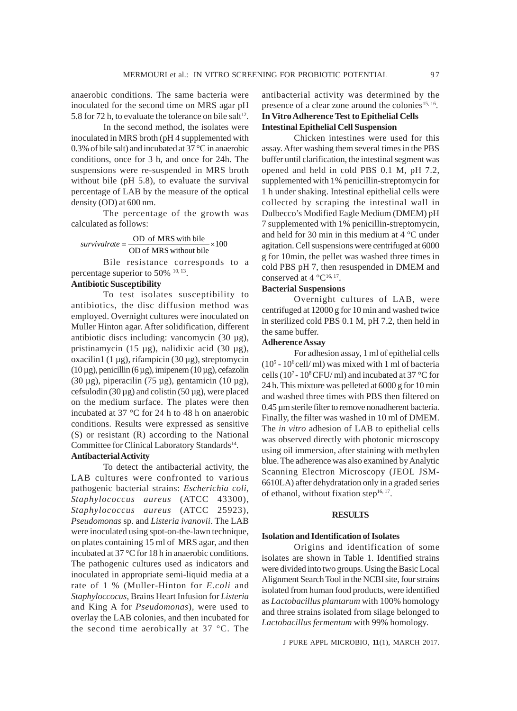anaerobic conditions. The same bacteria were inoculated for the second time on MRS agar pH 5.8 for 72 h, to evaluate the tolerance on bile salt<sup>12</sup>.

In the second method, the isolates were inoculated in MRS broth (pH 4 supplemented with 0.3% of bile salt) and incubated at 37 °C in anaerobic conditions, once for 3 h, and once for 24h. The suspensions were re-suspended in MRS broth without bile (pH 5.8), to evaluate the survival percentage of LAB by the measure of the optical density (OD) at 600 nm.

The percentage of the growth was calculated as follows:

# $survivalente = \frac{OD \space of MRS with bile}{OD \space of MRS without bile} \times 100$

Bile resistance corresponds to a percentage superior to 50% 10, 13.

# **Antibiotic Susceptibility**

To test isolates susceptibility to antibiotics, the disc diffusion method was employed. Overnight cultures were inoculated on Muller Hinton agar. After solidification, different antibiotic discs including: vancomycin (30 µg), pristinamycin (15 µg), nalidixic acid (30 µg), oxacilin1 (1 µg), rifampicin (30 µg), streptomycin  $(10 \,\mu$ g), penicillin  $(6 \,\mu$ g), imipenem  $(10 \,\mu$ g), cefazolin (30 µg), piperacilin (75 µg), gentamicin (10 µg), cefsulodin  $(30 \mu g)$  and colistin  $(50 \mu g)$ , were placed on the medium surface. The plates were then incubated at 37 °C for 24 h to 48 h on anaerobic conditions. Results were expressed as sensitive (S) or resistant (R) according to the National Committee for Clinical Laboratory Standards<sup>14</sup>.

# **Antibacterial Activity**

To detect the antibacterial activity, the LAB cultures were confronted to various pathogenic bacterial strains: *Escherichia coli*, *Staphylococcus aureus* (ATCC 43300), *Staphylococcus aureus* (ATCC 25923), *Pseudomonas* sp. and *Listeria ivanovii*. The LAB were inoculated using spot-on-the-lawn technique, on plates containing 15 ml of MRS agar, and then incubated at 37 °C for 18 h in anaerobic conditions. The pathogenic cultures used as indicators and inoculated in appropriate semi-liquid media at a rate of 1 % (Muller-Hinton for *E.coli* and *Staphyloccocus*, Brains Heart Infusion for *Listeria* and King A for *Pseudomonas*)*,* were used to overlay the LAB colonies, and then incubated for the second time aerobically at 37 °C. The

antibacterial activity was determined by the presence of a clear zone around the colonies<sup>15, 16</sup>. **In Vitro Adherence Test to Epithelial Cells Intestinal Epithelial Cell Suspension**

Chicken intestines were used for this assay. After washing them several times in the PBS buffer until clarification, the intestinal segment was opened and held in cold PBS 0.1 M, pH 7.2, supplemented with 1% penicillin-streptomycin for 1 h under shaking. Intestinal epithelial cells were collected by scraping the intestinal wall in Dulbecco's Modified Eagle Medium (DMEM) pH 7 supplemented with 1% penicillin-streptomycin, and held for 30 min in this medium at 4 °C under agitation. Cell suspensions were centrifuged at 6000 g for 10min, the pellet was washed three times in cold PBS pH 7, then resuspended in DMEM and conserved at 4  $^{\circ}C^{16, 17}$ .

#### **Bacterial Suspensions**

Overnight cultures of LAB, were centrifuged at 12000 g for 10 min and washed twice in sterilized cold PBS 0.1 M, pH 7.2, then held in the same buffer.

# **Adherence Assay**

For adhesion assay, 1 ml of epithelial cells  $(10<sup>5</sup> - 10<sup>6</sup>$ cell/ml) was mixed with 1 ml of bacteria cells (10<sup>7</sup> - 10<sup>8</sup> CFU/ ml) and incubated at 37 °C for 24 h. This mixture was pelleted at 6000 g for 10 min and washed three times with PBS then filtered on 0.45 um sterile filter to remove nonadherent bacteria. Finally, the filter was washed in 10 ml of DMEM. The *in vitro* adhesion of LAB to epithelial cells was observed directly with photonic microscopy using oil immersion, after staining with methylen blue. The adherence was also examined by Analytic Scanning Electron Microscopy (JEOL JSM-6610LA) after dehydratation only in a graded series of ethanol, without fixation step $16, 17$ .

#### **RESULTS**

#### **Isolation and Identification of Isolates**

Origins and identification of some isolates are shown in Table 1. Identified strains were divided into two groups. Using the Basic Local Alignment Search Tool in the NCBI site, four strains isolated from human food products, were identified as *Lactobacillus plantarum* with 100% homology and three strains isolated from silage belonged to *Lactobacillus fermentum* with 99% homology.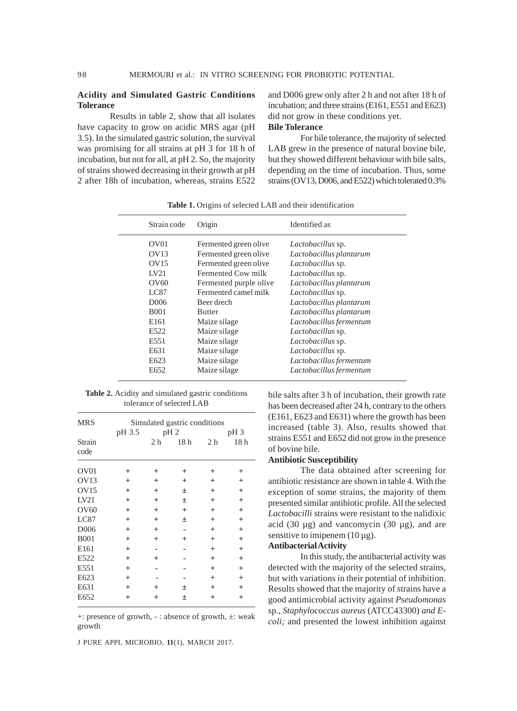#### **Acidity and Simulated Gastric Conditions Tolerance**

Results in table 2, show that all isolates have capacity to grow on acidic MRS agar (pH 3.5). In the simulated gastric solution, the survival was promising for all strains at pH 3 for 18 h of incubation, but not for all, at pH 2. So, the majority of strains showed decreasing in their growth at pH 2 after 18h of incubation, whereas, strains E522

and D006 grew only after 2 h and not after 18 h of incubation; and three strains (E161, E551 and E623) did not grow in these conditions yet.

# **Bile Tolerance**

For bile tolerance, the majority of selected LAB grew in the presence of natural bovine bile, but they showed different behaviour with bile salts, depending on the time of incubation. Thus, some strains (OV13, D006, and E522) which tolerated 0.3%

| Strain code       | Origin                 | Identified as            |
|-------------------|------------------------|--------------------------|
| OV <sub>01</sub>  | Fermented green olive  | <i>Lactobacillus</i> sp. |
| OVI3              | Fermented green olive  | Lactobacillus plantarum  |
| OVI5              | Fermented green olive  | Lactobacillus sp.        |
| LV21              | Fermented Cow milk     | Lactobacillus sp.        |
| O <sub>V</sub> 60 | Fermented purple olive | Lactobacillus plantarum  |
| <b>LC87</b>       | Fermented camel milk   | Lactobacillus sp.        |
| D <sub>006</sub>  | Beer drech             | Lactobacillus plantarum  |
| <b>B001</b>       | <b>Butter</b>          | Lactobacillus plantarum  |
| E <sub>161</sub>  | Maize silage           | Lactobacillus fermentum  |
| E522              | Maize silage           | Lactobacillus sp.        |
| E551              | Maize silage           | Lactobacillus sp.        |
| E631              | Maize silage           | Lactobacillus sp.        |
| E <sub>623</sub>  | Maize silage           | Lactobacillus fermentum  |
| E652              | Maize silage           | Lactobacillus fermentum  |
|                   |                        |                          |

**Table 1.** Origins of selected LAB and their identification

**Table 2.** Acidity and simulated gastric conditions tolerance of selected LAB

| <b>MRS</b>        | Simulated gastric conditions |         |                 |                |                 |  |  |  |
|-------------------|------------------------------|---------|-----------------|----------------|-----------------|--|--|--|
|                   | pH 3.5                       |         | $pH_2$          |                | pH <sub>3</sub> |  |  |  |
| Strain<br>code    |                              | 2 h     | 18 <sub>h</sub> | 2 <sub>h</sub> | 18 <sub>h</sub> |  |  |  |
| OV01              | $^{+}$                       | $^{+}$  | $\overline{+}$  | $^{+}$         | $\pm$           |  |  |  |
| OV13              | $+$                          | $^{+}$  | $^{+}$          | $^{+}$         | $^{+}$          |  |  |  |
| <b>OV15</b>       | $+$                          | $+$     | 土               | $^{+}$         | $+$             |  |  |  |
| LV21              | $+$                          | $^{+}$  | 土               | $^{+}$         | $+$             |  |  |  |
| O <sub>V</sub> 60 | $+$                          | $^{+}$  | $+$             | $^{+}$         | $\ddot{}$       |  |  |  |
| LC87              | $+$                          | $^{+}$  | 土               | $^{+}$         | $\ddot{}$       |  |  |  |
| D006              | $+$                          | $^{+}$  |                 | $^{+}$         | $+$             |  |  |  |
| <b>B001</b>       | $+$                          | $+$     | $^{+}$          | $+$            | $+$             |  |  |  |
| E161              | $+$                          |         |                 | $^{+}$         | $+$             |  |  |  |
| E522              | $+$                          | $^{+}$  |                 | $^{+}$         | $+$             |  |  |  |
| E551              | $+$                          |         |                 | $^{+}$         | $\ddot{}$       |  |  |  |
| E623              | $+$                          |         |                 | $^{+}$         | $^{+}$          |  |  |  |
| E631              | $+$                          | $\,+\,$ | 土               | $^{+}$         | $^{+}$          |  |  |  |
| E652              | $^{+}$                       | $^+$    | 土               | $^{+}$         | $^{+}$          |  |  |  |

+: presence of growth, - : absence of growth, ±: weak growth

J PURE APPL MICROBIO*,* **11**(1), MARCH 2017.

bile salts after 3 h of incubation, their growth rate has been decreased after 24 h, contrary to the others (E161, E623 and E631) where the growth has been increased (table 3). Also, results showed that strains E551 and E652 did not grow in the presence of bovine bile.

# **Antibiotic Susceptibility**

The data obtained after screening for antibiotic resistance are shown in table 4. With the exception of some strains, the majority of them presented similar antibiotic profile. All the selected *Lactobacilli* strains were resistant to the nalidixic acid (30  $\mu$ g) and vancomycin (30  $\mu$ g), and are sensitive to imipenem  $(10 \mu g)$ .

# **Antibacterial Activity**

In this study, the antibacterial activity was detected with the majority of the selected strains, but with variations in their potential of inhibition. Results showed that the majority of strains have a good antimicrobial activity against *Pseudomonas* sp.*, Staphylococcus aureus* (ATCC43300) *and Ecoli;* and presented the lowest inhibition against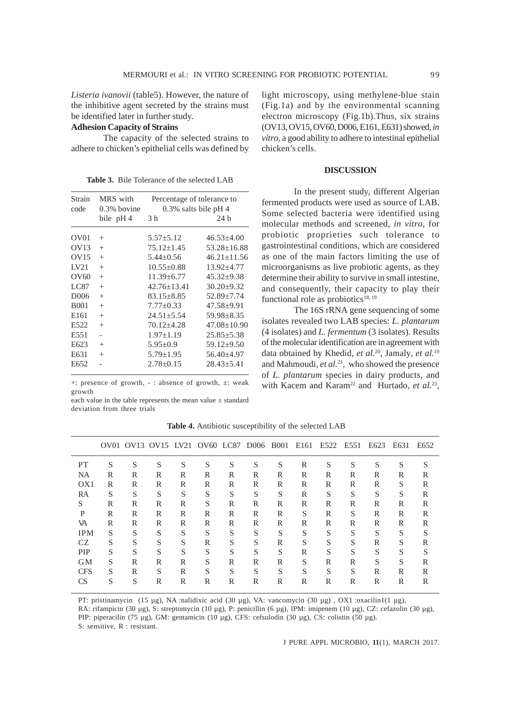*Listeria ivanovii* (table5). However, the nature of the inhibitive agent secreted by the strains must be identified later in further study.

# **Adhesion Capacity of Strains**

The capacity of the selected strains to adhere to chicken's epithelial cells was defined by

**Table 3.** Bile Tolerance of the selected LAB

| Strain<br>code   | MRS with<br>$0.3\%$ bovine | Percentage of tolerance to<br>$0.3\%$ salts bile pH 4 |                   |  |  |  |
|------------------|----------------------------|-------------------------------------------------------|-------------------|--|--|--|
|                  | bile pH 4                  | 3 h                                                   | 24 h              |  |  |  |
| OV01             | $^{+}$                     | $5.57 \pm 5.12$                                       | $46.53 + 4.00$    |  |  |  |
| OVI3             | $^{+}$                     | $75.12 \pm 1.45$                                      | $53.28 \pm 16.88$ |  |  |  |
| OVI5             | $^{+}$                     | $5.44 \pm 0.56$                                       | $46.21 \pm 11.56$ |  |  |  |
| LV21             | $^{+}$                     | $10.55 \pm 0.88$                                      | $13.92 \pm 4.77$  |  |  |  |
| OV60             | $^{+}$                     | $11.39 \pm 6.77$                                      | $45.32 \pm 9.38$  |  |  |  |
| LC87             | $^{+}$                     | $42.76 \pm 13.41$                                     | $30.20 \pm 9.32$  |  |  |  |
| D <sub>006</sub> | $^{+}$                     | $83.15 \pm 8.85$                                      | $52.89 \pm 7.74$  |  |  |  |
| <b>B001</b>      | $^{+}$                     | $7.77 \pm 0.33$                                       | $47.58 \pm 9.91$  |  |  |  |
| E <sub>161</sub> | $^{+}$                     | $24.51 \pm 5.54$                                      | $59.98 + 8.35$    |  |  |  |
| E <sub>522</sub> | $^{+}$                     | $70.12 + 4.28$                                        | $47.08 \pm 10.90$ |  |  |  |
| E551             |                            | $1.97 \pm 1.19$                                       | $25.85 \pm 5.38$  |  |  |  |
| E623             | $^{+}$                     | $5.95 \pm 0.9$                                        | $59.12 \pm 9.50$  |  |  |  |
| E631             | $^{+}$                     | $5.79 \pm 1.95$                                       | $56.40 + 4.97$    |  |  |  |
| E652             |                            | $2.78 + 0.15$                                         | $28.43 + 5.41$    |  |  |  |

+: presence of growth, - : absence of growth, ±: weak growth

each value in the table represents the mean value ± standard deviation from three trials

| light microscopy, using methylene-blue stain             |
|----------------------------------------------------------|
| (Fig.1a) and by the environmental scanning               |
| electron microscopy (Fig.1b). Thus, six strains          |
| (OV13, OV15, OV60, D006, E161, E631) showed, in          |
| vitro, a good ability to adhere to intestinal epithelial |
| chicken's cells.                                         |

#### **DISCUSSION**

In the present study, different Algerian fermented products were used as source of LAB. Some selected bacteria were identified using molecular methods and screened, *in vitro*, for probiotic proprieties such tolerance to gastrointestinal conditions, which are considered as one of the main factors limiting the use of microorganisms as live probiotic agents, as they determine their ability to survive in small intestine, and consequently, their capacity to play their functional role as probiotics<sup>18, 19</sup>

The 16S rRNA gene sequencing of some isolates revealed two LAB species: *L. plantarum* (4 isolates) and *L. fermentum* (3 isolates). Results of the molecular identification are in agreement with data obtained by Khedid*, et al.*20, Jamaly*, et al.*<sup>10</sup> and Mahmoudi*, et al.*21, who showed the presence of *L. plantarum* species in dairy products, and with Kacem and Karam<sup>22</sup> and Hurtado, et al.<sup>23</sup>,

|                 |   |   | OV01 OV13 OV15 LV21 OV60 LC87 D006 B001 E161 |   |   |   |   |   |   | E522 E551 |   | E623 | E631 | E652 |
|-----------------|---|---|----------------------------------------------|---|---|---|---|---|---|-----------|---|------|------|------|
| PT              | S | S | S                                            | S | S | S | S | S | R | S         | S | S    | S    | S    |
| NA              | R | R | R                                            | R | R | R | R | R | R | R         | R | R    | R    | R    |
| O <sub>X1</sub> | R | R | R                                            | R | R | R | R | R | R | R         | R | R    | S    | R    |
| RA              | S | S | S                                            | S | S | S | S | S | R | S         | S | S    | S    | R    |
| S               | R | R | R                                            | R | S | R | R | R | R | R         | R | R    | R    | R    |
| P               | R | R | R                                            | R | R | R | R | R | S | R         | S | R    | R    | R    |
| VA              | R | R | R                                            | R | R | R | R | R | R | R         | R | R    | R    | R    |
| <b>IPM</b>      | S | S | S                                            | S | S | S | S | S | S | S         | S | S    | S    | S    |
| CZ.             | S | S | S                                            | S | R | S | S | R | S | S         | S | R    | S    | R    |
| <b>PIP</b>      | S | S | S                                            | S | S | S | S | S | R | S         | S | S    | S    | S    |
| GM              | S | R | R                                            | R | S | R | R | R | S | R         | R | S    | S    | R    |
| <b>CFS</b>      | S | R | S                                            | R | S | S | S | S | S | S         | S | R    | R    | R    |
| CS              | S | S | R                                            | R | R | R | R | R | R | R         | R | R    | R    | R    |
|                 |   |   |                                              |   |   |   |   |   |   |           |   |      |      |      |

**Table 4.** Antibiotic susceptibility of the selected LAB

PT: pristinamycin (15 µg), NA :nalidixic acid (30 µg), VA: vancomycin (30 µg) , OX1 :oxacilin1(1 µg), RA: rifampicin (30 µg), S: streptomycin (10 µg), P: penicillin (6 µg), IPM: imipenem (10 µg), CZ: cefazolin (30 µg), PIP: piperacilin (75 µg), GM: gentamicin (10 µg), CFS: cefsulodin (30 µg), CS: colistin (50 µg). S: sensitive, R : resistant.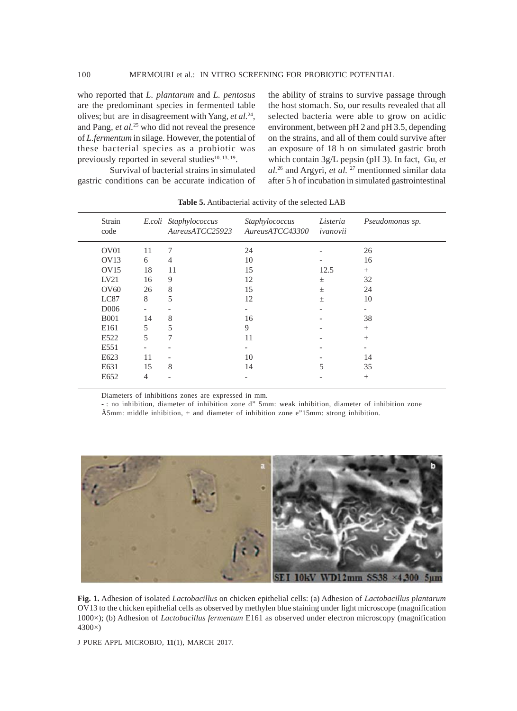who reported that *L. plantarum* and *L. pentosus* are the predominant species in fermented table olives; but are in disagreement with Yang*, et al.*24, and Pang*, et al.*25 who did not reveal the presence of *L.fermentum* in silage. However, the potential of these bacterial species as a probiotic was previously reported in several studies $10, 13, 19$ .

gastric conditions can be accurate indication of

Survival of bacterial strains in simulated

the ability of strains to survive passage through the host stomach. So, our results revealed that all selected bacteria were able to grow on acidic environment, between pH 2 and pH 3.5, depending on the strains, and all of them could survive after an exposure of 18 h on simulated gastric broth which contain 3g/L pepsin (pH 3). In fact, Gu*, et al.*26 and Argyri*, et al.* 27 mentionned similar data after 5 h of incubation in simulated gastrointestinal

| Strain<br>code   |                          | E.coli Staphylococcus<br>AuresATCC25923 | Staphylococcus<br>AuresATCC43300 | Listeria<br>ivanovii     | Pseudomonas sp.          |
|------------------|--------------------------|-----------------------------------------|----------------------------------|--------------------------|--------------------------|
| OV <sub>01</sub> | 11                       | 7                                       | 24                               |                          | 26                       |
| OVI3             | 6                        | $\overline{4}$                          | 10                               |                          | 16                       |
| OV15             | 18                       | 11                                      | 15                               | 12.5                     | $^{+}$                   |
| LV21             | 16                       | 9                                       | 12                               | $\pm$                    | 32                       |
| OV60             | 26                       | 8                                       | 15                               | $\pm$                    | 24                       |
| LC87             | 8                        | 5                                       | 12                               | $\pm$                    | 10                       |
| D <sub>006</sub> | $\overline{\phantom{a}}$ | $\overline{\phantom{a}}$                | $\overline{\phantom{a}}$         | $\overline{\phantom{a}}$ | $\overline{\phantom{a}}$ |
| <b>B001</b>      | 14                       | 8                                       | 16                               |                          | 38                       |
| E161             | 5                        | 5                                       | 9                                |                          | $^{+}$                   |
| E522             | 5                        | 7                                       | 11                               |                          | $+$                      |
| E551             |                          |                                         |                                  |                          |                          |
| E <sub>623</sub> | 11                       | ۰                                       | 10                               |                          | 14                       |
| E631             | 15                       | 8                                       | 14                               | 5                        | 35                       |
| E652             | $\overline{4}$           |                                         | $\overline{\phantom{a}}$         |                          | $+$                      |
|                  |                          |                                         |                                  |                          |                          |

**Table 5.** Antibacterial activity of the selected LAB

Diameters of inhibitions zones are expressed in mm.

- : no inhibition, diameter of inhibition zone d" 5mm: weak inhibition, diameter of inhibition zone Ã5mm: middle inhibition, + and diameter of inhibition zone e"15mm: strong inhibition.



**Fig. 1.** Adhesion of isolated *Lactobacillus* on chicken epithelial cells: (a) Adhesion of *Lactobacillus plantarum* OV13 to the chicken epithelial cells as observed by methylen blue staining under light microscope (magnification 1000×); (b) Adhesion of *Lactobacillus fermentum* E161 as observed under electron microscopy (magnification 4300×)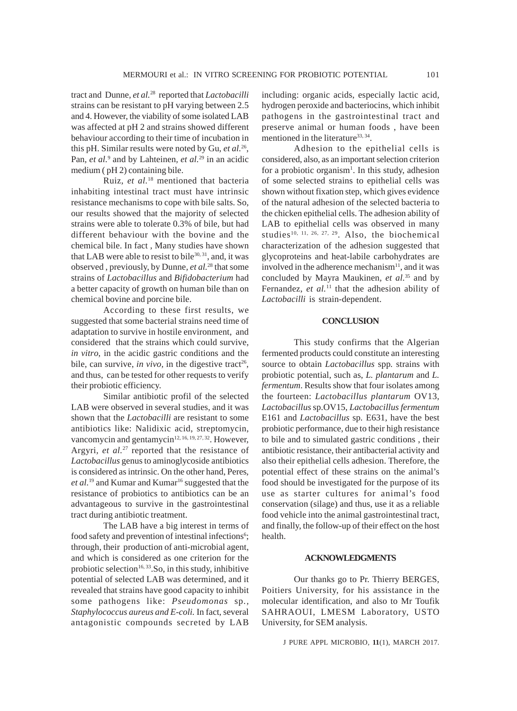tract and Dunne*, et al.*28 reported that *Lactobacilli* strains can be resistant to pH varying between 2.5 and 4. However, the viability of some isolated LAB was affected at pH 2 and strains showed different behaviour according to their time of incubation in this pH. Similar results were noted by Gu*, et al.*26, Pan, et al.<sup>9</sup> and by Lahteinen, et al.<sup>29</sup> in an acidic medium ( pH 2) containing bile.

Ruiz*, et al.*18 mentioned that bacteria inhabiting intestinal tract must have intrinsic resistance mechanisms to cope with bile salts. So, our results showed that the majority of selected strains were able to tolerate 0.3% of bile, but had different behaviour with the bovine and the chemical bile. In fact , Many studies have shown that LAB were able to resist to bile $30, 31$ , and, it was observed , previously, by Dunne*, et al.*28 that some strains of *Lactobacillus* and *Bifidobacterium* had a better capacity of growth on human bile than on chemical bovine and porcine bile.

According to these first results, we suggested that some bacterial strains need time of adaptation to survive in hostile environment, and considered that the strains which could survive, *in vitro*, in the acidic gastric conditions and the bile, can survive, *in vivo*, in the digestive tract<sup>26</sup>, and thus, can be tested for other requests to verify their probiotic efficiency.

Similar antibiotic profil of the selected LAB were observed in several studies, and it was shown that the *Lactobacilli* are resistant to some antibiotics like: Nalidixic acid, streptomycin, vancomycin and gentamycin<sup>12, 16, 19, 27, 32</sup>. However, Argyri*, et al.*27 reported that the resistance of *Lactobacillus* genus to aminoglycoside antibiotics is considered as intrinsic. On the other hand, Peres*,* et al.<sup>19</sup> and Kumar and Kumar<sup>16</sup> suggested that the resistance of probiotics to antibiotics can be an advantageous to survive in the gastrointestinal tract during antibiotic treatment.

The LAB have a big interest in terms of food safety and prevention of intestinal infections<sup>6</sup>; through, their production of anti-microbial agent, and which is considered as one criterion for the probiotic selection<sup>16, 33</sup>. So, in this study, inhibitive potential of selected LAB was determined, and it revealed that strains have good capacity to inhibit some pathogens like: *Pseudomonas* sp*., Staphylococcus aureus and E-coli.* In fact*,* several antagonistic compounds secreted by LAB

including: organic acids, especially lactic acid, hydrogen peroxide and bacteriocins, which inhibit pathogens in the gastrointestinal tract and preserve animal or human foods , have been mentioned in the literature<sup>33, 34</sup>.

Adhesion to the epithelial cells is considered, also, as an important selection criterion for a probiotic organism<sup>1</sup>. In this study, adhesion of some selected strains to epithelial cells was shown without fixation step, which gives evidence of the natural adhesion of the selected bacteria to the chicken epithelial cells. The adhesion ability of LAB to epithelial cells was observed in many studies<sup>10, 11, 26, 27, 29</sup>. Also, the biochemical characterization of the adhesion suggested that glycoproteins and heat-labile carbohydrates are involved in the adherence mechanism<sup>11</sup>, and it was concluded by Mayra Maukinen*, et al.*35 and by Fernandez, *et al.*<sup>11</sup> that the adhesion ability of *Lactobacilli* is strain-dependent.

# **CONCLUSION**

This study confirms that the Algerian fermented products could constitute an interesting source to obtain *Lactobacillus* spp*.* strains with probiotic potential, such as, *L. plantarum* and *L. fermentum*. Results show that four isolates among the fourteen: *Lactobacillus plantarum* OV13*, Lactobacillus* sp.OV15, *Lactobacillus fermentum* E161 and *Lactobacillus* sp*.* E631, have the best probiotic performance, due to their high resistance to bile and to simulated gastric conditions , their antibiotic resistance, their antibacterial activity and also their epithelial cells adhesion. Therefore, the potential effect of these strains on the animal's food should be investigated for the purpose of its use as starter cultures for animal's food conservation (silage) and thus, use it as a reliable food vehicle into the animal gastrointestinal tract, and finally, the follow-up of their effect on the host health.

# **ACKNOWLEDGMENTS**

Our thanks go to Pr. Thierry BERGES, Poitiers University, for his assistance in the molecular identification, and also to Mr Toufik SAHRAOUI, LMESM Laboratory, USTO University, for SEM analysis.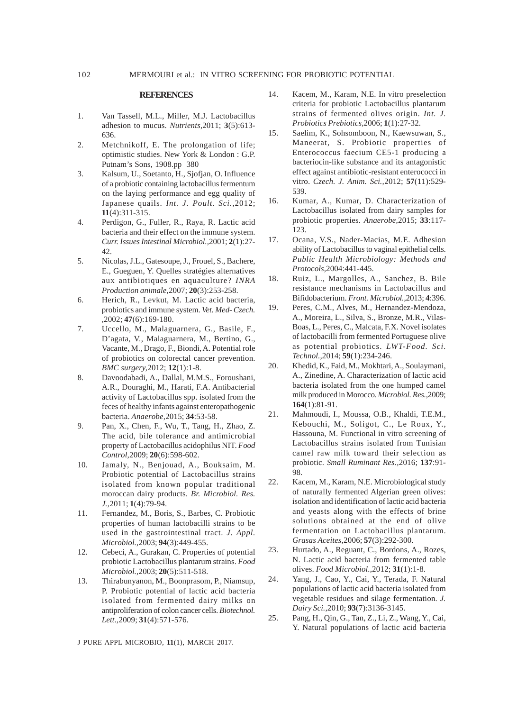#### **REFERENCES**

- 1. Van Tassell, M.L., Miller, M.J. Lactobacillus adhesion to mucus. *Nutrients,*2011; **3**(5):613- 636.
- 2. Metchnikoff, E. The prolongation of life; optimistic studies. New York & London : G.P. Putnam's Sons, 1908.pp 380
- 3. Kalsum, U., Soetanto, H., Sjofjan, O. Influence of a probiotic containing lactobacillus fermentum on the laying performance and egg quality of Japanese quails. *Int. J. Poult. Sci.,*2012; **11**(4):311-315.
- 4. Perdigon, G., Fuller, R., Raya, R. Lactic acid bacteria and their effect on the immune system. *Curr. Issues Intestinal Microbiol.,*2001; **2**(1):27- 42.
- 5. Nicolas, J.L., Gatesoupe, J., Frouel, S., Bachere, E., Gueguen, Y. Quelles stratégies alternatives aux antibiotiques en aquaculture? *INRA Production animale,*2007; **20**(3):253-258.
- 6. Herich, R., Levkut, M. Lactic acid bacteria, probiotics and immune system. *Vet. Med- Czech. ,*2002; **47**(6):169-180.
- 7. Uccello, M., Malaguarnera, G., Basile, F., D'agata, V., Malaguarnera, M., Bertino, G., Vacante, M., Drago, F., Biondi, A. Potential role of probiotics on colorectal cancer prevention. *BMC surgery,*2012; **12**(1):1-8.
- 8. Davoodabadi, A., Dallal, M.M.S., Foroushani, A.R., Douraghi, M., Harati, F.A. Antibacterial activity of Lactobacillus spp. isolated from the feces of healthy infants against enteropathogenic bacteria. *Anaerobe,*2015; **34**:53-58.
- 9. Pan, X., Chen, F., Wu, T., Tang, H., Zhao, Z. The acid, bile tolerance and antimicrobial property of Lactobacillus acidophilus NIT. *Food Control,*2009; **20**(6):598-602.
- 10. Jamaly, N., Benjouad, A., Bouksaim, M. Probiotic potential of Lactobacillus strains isolated from known popular traditional moroccan dairy products. *Br. Microbiol. Res. J.,*2011; **1**(4):79-94.
- 11. Fernandez, M., Boris, S., Barbes, C. Probiotic properties of human lactobacilli strains to be used in the gastrointestinal tract. *J. Appl. Microbiol.,*2003; **94**(3):449-455.
- 12. Cebeci, A., Gurakan, C. Properties of potential probiotic Lactobacillus plantarum strains. *Food Microbiol.,*2003; **20**(5):511-518.
- 13. Thirabunyanon, M., Boonprasom, P., Niamsup, P. Probiotic potential of lactic acid bacteria isolated from fermented dairy milks on antiproliferation of colon cancer cells. *Biotechnol. Lett.,*2009; **31**(4):571-576.

14. Kacem, M., Karam, N.E. In vitro preselection criteria for probiotic Lactobacillus plantarum strains of fermented olives origin. *Int. J. Probiotics Prebiotics,*2006; **1**(1):27-32.

- 15. Saelim, K., Sohsomboon, N., Kaewsuwan, S., Maneerat, S. Probiotic properties of Enterococcus faecium CE5-1 producing a bacteriocin-like substance and its antagonistic effect against antibiotic-resistant enterococci in vitro. *Czech. J. Anim. Sci.,*2012; **57**(11):529- 539.
- 16. Kumar, A., Kumar, D. Characterization of Lactobacillus isolated from dairy samples for probiotic properties. *Anaerobe,*2015; **33**:117- 123.
- 17. Ocana, V.S., Nader-Macias, M.E. Adhesion ability of Lactobacillus to vaginal epithelial cells. *Public Health Microbiology: Methods and Protocols,*2004:441-445.
- 18. Ruiz, L., Margolles, A., Sanchez, B. Bile resistance mechanisms in Lactobacillus and Bifidobacterium. *Front. Microbiol.,*2013; **4**:396.
- 19. Peres, C.M., Alves, M., Hernandez-Mendoza, A., Moreira, L., Silva, S., Bronze, M.R., Vilas-Boas, L., Peres, C., Malcata, F.X. Novel isolates of lactobacilli from fermented Portuguese olive as potential probiotics. *LWT-Food. Sci. Technol.,*2014; **59**(1):234-246.
- 20. Khedid, K., Faid, M., Mokhtari, A., Soulaymani, A., Zinedine, A. Characterization of lactic acid bacteria isolated from the one humped camel milk produced in Morocco. *Microbiol. Res.,*2009; **164**(1):81-91.
- 21. Mahmoudi, I., Moussa, O.B., Khaldi, T.E.M., Kebouchi, M., Soligot, C., Le Roux, Y., Hassouna, M. Functional in vitro screening of Lactobacillus strains isolated from Tunisian camel raw milk toward their selection as probiotic. *Small Ruminant Res.,*2016; **137**:91- 98.
- 22. Kacem, M., Karam, N.E. Microbiological study of naturally fermented Algerian green olives: isolation and identification of lactic acid bacteria and yeasts along with the effects of brine solutions obtained at the end of olive fermentation on Lactobacillus plantarum. *Grasas Aceites,*2006; **57**(3):292-300.
- 23. Hurtado, A., Reguant, C., Bordons, A., Rozes, N. Lactic acid bacteria from fermented table olives. *Food Microbiol.,*2012; **31**(1):1-8.
- 24. Yang, J., Cao, Y., Cai, Y., Terada, F. Natural populations of lactic acid bacteria isolated from vegetable residues and silage fermentation. *J. Dairy Sci.,*2010; **93**(7):3136-3145.
- 25. Pang, H., Qin, G., Tan, Z., Li, Z., Wang, Y., Cai, Y. Natural populations of lactic acid bacteria